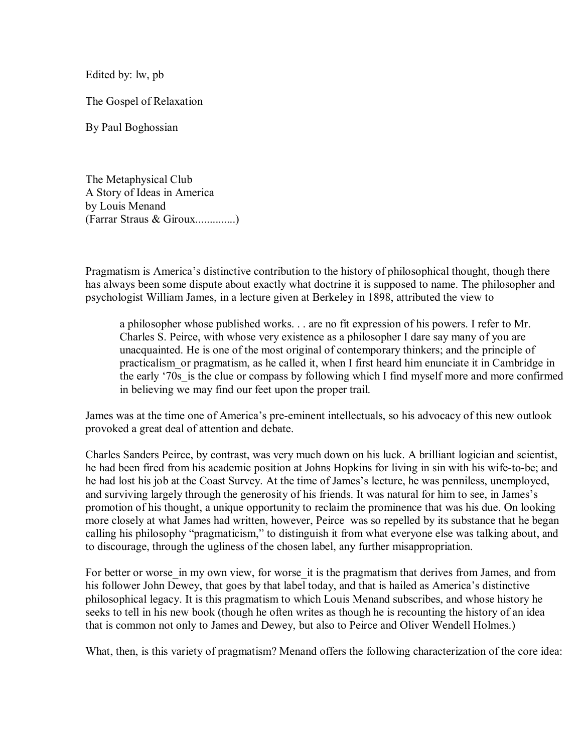Edited by: lw, pb

The Gospel of Relaxation

By Paul Boghossian

The Metaphysical Club A Story of Ideas in America by Louis Menand (Farrar Straus & Giroux..............)

Pragmatism is America's distinctive contribution to the history of philosophical thought, though there has always been some dispute about exactly what doctrine it is supposed to name. The philosopher and psychologist William James, in a lecture given at Berkeley in 1898, attributed the view to

a philosopher whose published works. . . are no fit expression of his powers. I refer to Mr. Charles S. Peirce, with whose very existence as a philosopher I dare say many of you are unacquainted. He is one of the most original of contemporary thinkers; and the principle of practicalism or pragmatism, as he called it, when I first heard him enunciate it in Cambridge in the early '70s is the clue or compass by following which I find myself more and more confirmed in believing we may find our feet upon the proper trail.

James was at the time one of America's pre-eminent intellectuals, so his advocacy of this new outlook provoked a great deal of attention and debate.

Charles Sanders Peirce, by contrast, was very much down on his luck. A brilliant logician and scientist, he had been fired from his academic position at Johns Hopkins for living in sin with his wife-to-be; and he had lost his job at the Coast Survey. At the time of James's lecture, he was penniless, unemployed, and surviving largely through the generosity of his friends. It was natural for him to see, in James's promotion of his thought, a unique opportunity to reclaim the prominence that was his due. On looking more closely at what James had written, however, Peirce was so repelled by its substance that he began calling his philosophy "pragmaticism," to distinguish it from what everyone else was talking about, and to discourage, through the ugliness of the chosen label, any further misappropriation.

For better or worse in my own view, for worse it is the pragmatism that derives from James, and from his follower John Dewey, that goes by that label today, and that is hailed as America's distinctive philosophical legacy. It is this pragmatism to which Louis Menand subscribes, and whose history he seeks to tell in his new book (though he often writes as though he is recounting the history of an idea that is common not only to James and Dewey, but also to Peirce and Oliver Wendell Holmes.)

What, then, is this variety of pragmatism? Menand offers the following characterization of the core idea: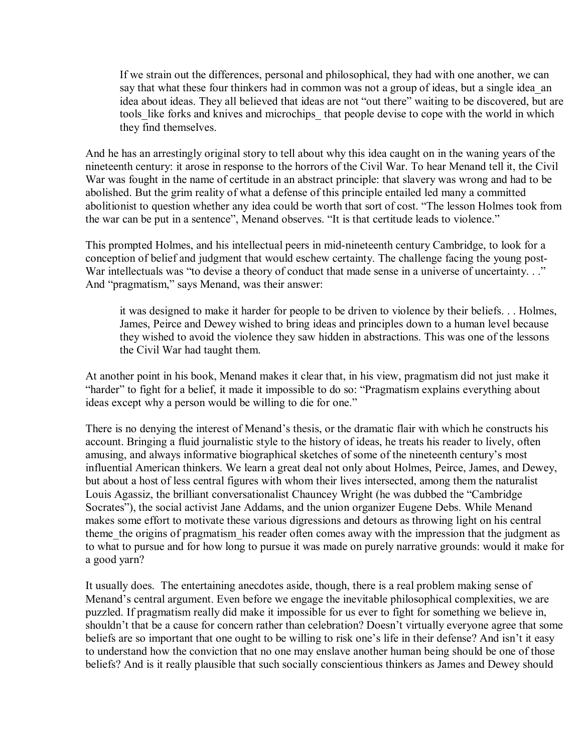If we strain out the differences, personal and philosophical, they had with one another, we can say that what these four thinkers had in common was not a group of ideas, but a single idea an idea about ideas. They all believed that ideas are not "out there" waiting to be discovered, but are tools like forks and knives and microchips that people devise to cope with the world in which they find themselves.

And he has an arrestingly original story to tell about why this idea caught on in the waning years of the nineteenth century: it arose in response to the horrors of the Civil War. To hear Menand tell it, the Civil War was fought in the name of certitude in an abstract principle: that slavery was wrong and had to be abolished. But the grim reality of what a defense of this principle entailed led many a committed abolitionist to question whether any idea could be worth that sort of cost. "The lesson Holmes took from the war can be put in a sentence", Menand observes. "It is that certitude leads to violence."

This prompted Holmes, and his intellectual peers in mid-nineteenth century Cambridge, to look for a conception of belief and judgment that would eschew certainty. The challenge facing the young post-War intellectuals was "to devise a theory of conduct that made sense in a universe of uncertainty. . ." And "pragmatism," says Menand, was their answer:

it was designed to make it harder for people to be driven to violence by their beliefs. . . Holmes, James, Peirce and Dewey wished to bring ideas and principles down to a human level because they wished to avoid the violence they saw hidden in abstractions. This was one of the lessons the Civil War had taught them.

At another point in his book, Menand makes it clear that, in his view, pragmatism did not just make it "harder" to fight for a belief, it made it impossible to do so: "Pragmatism explains everything about ideas except why a person would be willing to die for one."

There is no denying the interest of Menand's thesis, or the dramatic flair with which he constructs his account. Bringing a fluid journalistic style to the history of ideas, he treats his reader to lively, often amusing, and always informative biographical sketches of some of the nineteenth century's most influential American thinkers. We learn a great deal not only about Holmes, Peirce, James, and Dewey, but about a host of less central figures with whom their lives intersected, among them the naturalist Louis Agassiz, the brilliant conversationalist Chauncey Wright (he was dubbed the "Cambridge Socrates"), the social activist Jane Addams, and the union organizer Eugene Debs. While Menand makes some effort to motivate these various digressions and detours as throwing light on his central theme the origins of pragmatism his reader often comes away with the impression that the judgment as to what to pursue and for how long to pursue it was made on purely narrative grounds: would it make for a good yarn?

It usually does. The entertaining anecdotes aside, though, there is a real problem making sense of Menand's central argument. Even before we engage the inevitable philosophical complexities, we are puzzled. If pragmatism really did make it impossible for us ever to fight for something we believe in, shouldn't that be a cause for concern rather than celebration? Doesn't virtually everyone agree that some beliefs are so important that one ought to be willing to risk one's life in their defense? And isn't it easy to understand how the conviction that no one may enslave another human being should be one of those beliefs? And is it really plausible that such socially conscientious thinkers as James and Dewey should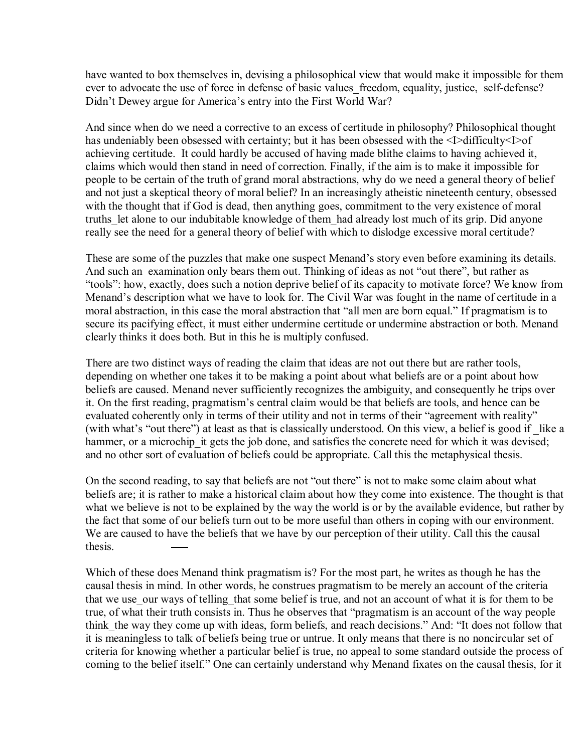have wanted to box themselves in, devising a philosophical view that would make it impossible for them ever to advocate the use of force in defense of basic values freedom, equality, justice, self-defense? Didn't Dewey argue for America's entry into the First World War?

And since when do we need a corrective to an excess of certitude in philosophy? Philosophical thought has undeniably been obsessed with certainty; but it has been obsessed with the <I>difficulty<I>of achieving certitude. It could hardly be accused of having made blithe claims to having achieved it, claims which would then stand in need of correction. Finally, if the aim is to make it impossible for people to be certain of the truth of grand moral abstractions, why do we need a general theory of belief and not just a skeptical theory of moral belief? In an increasingly atheistic nineteenth century, obsessed with the thought that if God is dead, then anything goes, commitment to the very existence of moral truths let alone to our indubitable knowledge of them had already lost much of its grip. Did anyone really see the need for a general theory of belief with which to dislodge excessive moral certitude?

These are some of the puzzles that make one suspect Menand's story even before examining its details. And such an examination only bears them out. Thinking of ideas as not "out there", but rather as "tools": how, exactly, does such a notion deprive belief of its capacity to motivate force? We know from Menand's description what we have to look for. The Civil War was fought in the name of certitude in a moral abstraction, in this case the moral abstraction that "all men are born equal." If pragmatism is to secure its pacifying effect, it must either undermine certitude or undermine abstraction or both. Menand clearly thinks it does both. But in this he is multiply confused.

There are two distinct ways of reading the claim that ideas are not out there but are rather tools, depending on whether one takes it to be making a point about what beliefs are or a point about how beliefs are caused. Menand never sufficiently recognizes the ambiguity, and consequently he trips over it. On the first reading, pragmatism's central claim would be that beliefs are tools, and hence can be evaluated coherently only in terms of their utility and not in terms of their "agreement with reality" (with what's "out there") at least as that is classically understood. On this view, a belief is good if like a hammer, or a microchip it gets the job done, and satisfies the concrete need for which it was devised; and no other sort of evaluation of beliefs could be appropriate. Call this the metaphysical thesis.

On the second reading, to say that beliefs are not "out there" is not to make some claim about what beliefs are; it is rather to make a historical claim about how they come into existence. The thought is that what we believe is not to be explained by the way the world is or by the available evidence, but rather by the fact that some of our beliefs turn out to be more useful than others in coping with our environment. We are caused to have the beliefs that we have by our perception of their utility. Call this the causal thesis.

Which of these does Menand think pragmatism is? For the most part, he writes as though he has the causal thesis in mind. In other words, he construes pragmatism to be merely an account of the criteria that we use our ways of telling that some belief is true, and not an account of what it is for them to be true, of what their truth consists in. Thus he observes that "pragmatism is an account of the way people think the way they come up with ideas, form beliefs, and reach decisions." And: "It does not follow that it is meaningless to talk of beliefs being true or untrue. It only means that there is no noncircular set of criteria for knowing whether a particular belief is true, no appeal to some standard outside the process of coming to the belief itself." One can certainly understand why Menand fixates on the causal thesis, for it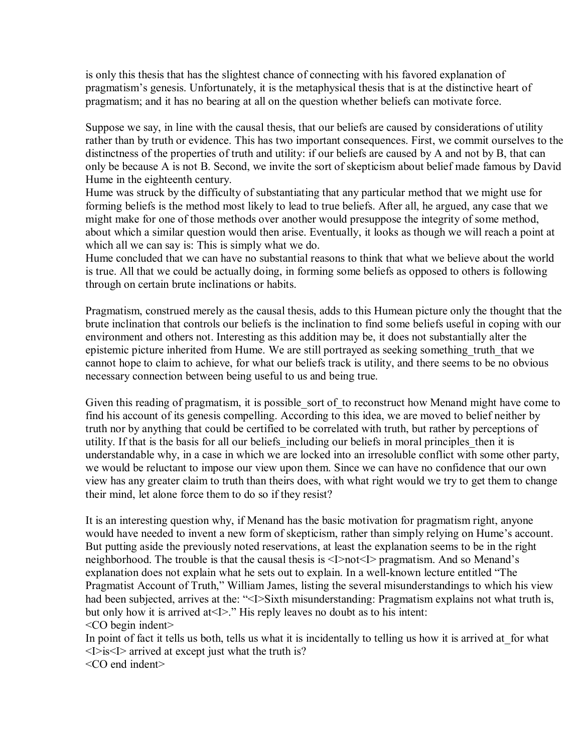is only this thesis that has the slightest chance of connecting with his favored explanation of pragmatism's genesis. Unfortunately, it is the metaphysical thesis that is at the distinctive heart of pragmatism; and it has no bearing at all on the question whether beliefs can motivate force.

Suppose we say, in line with the causal thesis, that our beliefs are caused by considerations of utility rather than by truth or evidence. This has two important consequences. First, we commit ourselves to the distinctness of the properties of truth and utility: if our beliefs are caused by A and not by B, that can only be because A is not B. Second, we invite the sort of skepticism about belief made famous by David Hume in the eighteenth century.

Hume was struck by the difficulty of substantiating that any particular method that we might use for forming beliefs is the method most likely to lead to true beliefs. After all, he argued, any case that we might make for one of those methods over another would presuppose the integrity of some method, about which a similar question would then arise. Eventually, it looks as though we will reach a point at which all we can say is: This is simply what we do.

Hume concluded that we can have no substantial reasons to think that what we believe about the world is true. All that we could be actually doing, in forming some beliefs as opposed to others is following through on certain brute inclinations or habits.

Pragmatism, construed merely as the causal thesis, adds to this Humean picture only the thought that the brute inclination that controls our beliefs is the inclination to find some beliefs useful in coping with our environment and others not. Interesting as this addition may be, it does not substantially alter the epistemic picture inherited from Hume. We are still portrayed as seeking something truth that we cannot hope to claim to achieve, for what our beliefs track is utility, and there seems to be no obvious necessary connection between being useful to us and being true.

Given this reading of pragmatism, it is possible sort of to reconstruct how Menand might have come to find his account of its genesis compelling. According to this idea, we are moved to belief neither by truth nor by anything that could be certified to be correlated with truth, but rather by perceptions of utility. If that is the basis for all our beliefs including our beliefs in moral principles then it is understandable why, in a case in which we are locked into an irresoluble conflict with some other party, we would be reluctant to impose our view upon them. Since we can have no confidence that our own view has any greater claim to truth than theirs does, with what right would we try to get them to change their mind, let alone force them to do so if they resist?

It is an interesting question why, if Menand has the basic motivation for pragmatism right, anyone would have needed to invent a new form of skepticism, rather than simply relying on Hume's account. But putting aside the previously noted reservations, at least the explanation seems to be in the right neighborhood. The trouble is that the causal thesis is <I>not<I> pragmatism. And so Menand's explanation does not explain what he sets out to explain. In a well-known lecture entitled "The Pragmatist Account of Truth," William James, listing the several misunderstandings to which his view had been subjected, arrives at the: "<I>Sixth misunderstanding: Pragmatism explains not what truth is, but only how it is arrived at<I>." His reply leaves no doubt as to his intent: <CO begin indent>

In point of fact it tells us both, tells us what it is incidentally to telling us how it is arrived at for what  $\leq$ I $\geq$ is $\leq$ I $\geq$  arrived at except just what the truth is?

<CO end indent>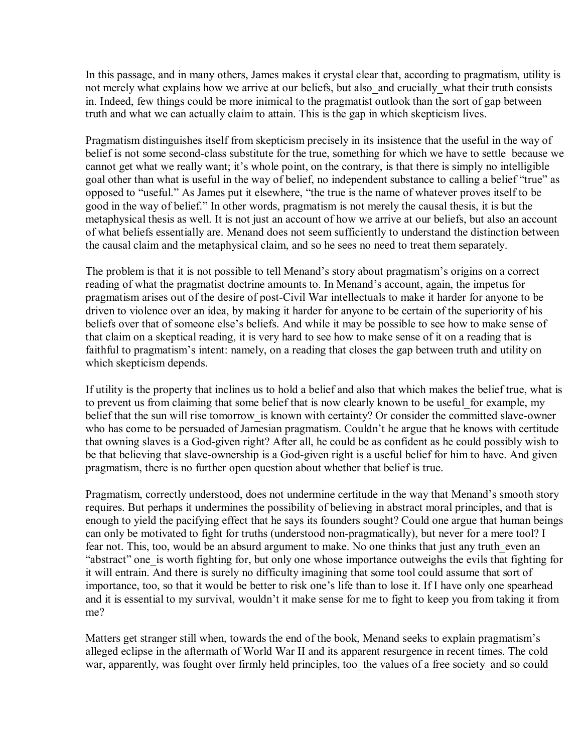In this passage, and in many others, James makes it crystal clear that, according to pragmatism, utility is not merely what explains how we arrive at our beliefs, but also\_and crucially\_what their truth consists in. Indeed, few things could be more inimical to the pragmatist outlook than the sort of gap between truth and what we can actually claim to attain. This is the gap in which skepticism lives.

Pragmatism distinguishes itself from skepticism precisely in its insistence that the useful in the way of belief is not some second-class substitute for the true, something for which we have to settle because we cannot get what we really want; it's whole point, on the contrary, is that there is simply no intelligible goal other than what is useful in the way of belief, no independent substance to calling a belief "true" as opposed to "useful." As James put it elsewhere, "the true is the name of whatever proves itself to be good in the way of belief." In other words, pragmatism is not merely the causal thesis, it is but the metaphysical thesis as well. It is not just an account of how we arrive at our beliefs, but also an account of what beliefs essentially are. Menand does not seem sufficiently to understand the distinction between the causal claim and the metaphysical claim, and so he sees no need to treat them separately.

The problem is that it is not possible to tell Menand's story about pragmatism's origins on a correct reading of what the pragmatist doctrine amounts to. In Menand's account, again, the impetus for pragmatism arises out of the desire of post-Civil War intellectuals to make it harder for anyone to be driven to violence over an idea, by making it harder for anyone to be certain of the superiority of his beliefs over that of someone else's beliefs. And while it may be possible to see how to make sense of that claim on a skeptical reading, it is very hard to see how to make sense of it on a reading that is faithful to pragmatism's intent: namely, on a reading that closes the gap between truth and utility on which skepticism depends.

If utility is the property that inclines us to hold a belief and also that which makes the belief true, what is to prevent us from claiming that some belief that is now clearly known to be useful for example, my belief that the sun will rise tomorrow is known with certainty? Or consider the committed slave-owner who has come to be persuaded of Jamesian pragmatism. Couldn't he argue that he knows with certitude that owning slaves is a God-given right? After all, he could be as confident as he could possibly wish to be that believing that slave-ownership is a God-given right is a useful belief for him to have. And given pragmatism, there is no further open question about whether that belief is true.

Pragmatism, correctly understood, does not undermine certitude in the way that Menand's smooth story requires. But perhaps it undermines the possibility of believing in abstract moral principles, and that is enough to yield the pacifying effect that he says its founders sought? Could one argue that human beings can only be motivated to fight for truths (understood non-pragmatically), but never for a mere tool? I fear not. This, too, would be an absurd argument to make. No one thinks that just any truth even an "abstract" one is worth fighting for, but only one whose importance outweighs the evils that fighting for it will entrain. And there is surely no difficulty imagining that some tool could assume that sort of importance, too, so that it would be better to risk one's life than to lose it. If I have only one spearhead and it is essential to my survival, wouldn't it make sense for me to fight to keep you from taking it from me?

Matters get stranger still when, towards the end of the book, Menand seeks to explain pragmatism's alleged eclipse in the aftermath of World War II and its apparent resurgence in recent times. The cold war, apparently, was fought over firmly held principles, too the values of a free society and so could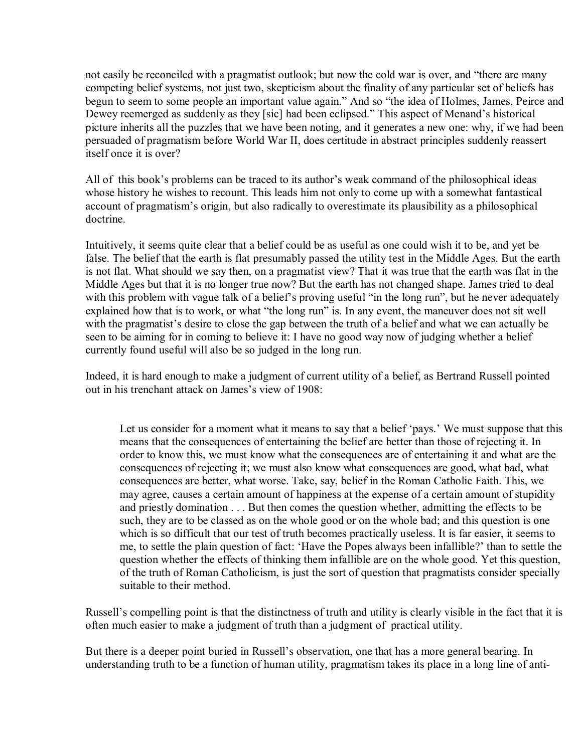not easily be reconciled with a pragmatist outlook; but now the cold war is over, and "there are many competing belief systems, not just two, skepticism about the finality of any particular set of beliefs has begun to seem to some people an important value again." And so "the idea of Holmes, James, Peirce and Dewey reemerged as suddenly as they [sic] had been eclipsed." This aspect of Menand's historical picture inherits all the puzzles that we have been noting, and it generates a new one: why, if we had been persuaded of pragmatism before World War II, does certitude in abstract principles suddenly reassert itself once it is over?

All of this book's problems can be traced to its author's weak command of the philosophical ideas whose history he wishes to recount. This leads him not only to come up with a somewhat fantastical account of pragmatism's origin, but also radically to overestimate its plausibility as a philosophical doctrine.

Intuitively, it seems quite clear that a belief could be as useful as one could wish it to be, and yet be false. The belief that the earth is flat presumably passed the utility test in the Middle Ages. But the earth is not flat. What should we say then, on a pragmatist view? That it was true that the earth was flat in the Middle Ages but that it is no longer true now? But the earth has not changed shape. James tried to deal with this problem with vague talk of a belief's proving useful "in the long run", but he never adequately explained how that is to work, or what "the long run" is. In any event, the maneuver does not sit well with the pragmatist's desire to close the gap between the truth of a belief and what we can actually be seen to be aiming for in coming to believe it: I have no good way now of judging whether a belief currently found useful will also be so judged in the long run.

Indeed, it is hard enough to make a judgment of current utility of a belief, as Bertrand Russell pointed out in his trenchant attack on James's view of 1908:

Let us consider for a moment what it means to say that a belief 'pays.' We must suppose that this means that the consequences of entertaining the belief are better than those of rejecting it. In order to know this, we must know what the consequences are of entertaining it and what are the consequences of rejecting it; we must also know what consequences are good, what bad, what consequences are better, what worse. Take, say, belief in the Roman Catholic Faith. This, we may agree, causes a certain amount of happiness at the expense of a certain amount of stupidity and priestly domination . . . But then comes the question whether, admitting the effects to be such, they are to be classed as on the whole good or on the whole bad; and this question is one which is so difficult that our test of truth becomes practically useless. It is far easier, it seems to me, to settle the plain question of fact: 'Have the Popes always been infallible?' than to settle the question whether the effects of thinking them infallible are on the whole good. Yet this question, of the truth of Roman Catholicism, is just the sort of question that pragmatists consider specially suitable to their method.

Russell's compelling point is that the distinctness of truth and utility is clearly visible in the fact that it is often much easier to make a judgment of truth than a judgment of practical utility.

But there is a deeper point buried in Russell's observation, one that has a more general bearing. In understanding truth to be a function of human utility, pragmatism takes its place in a long line of anti-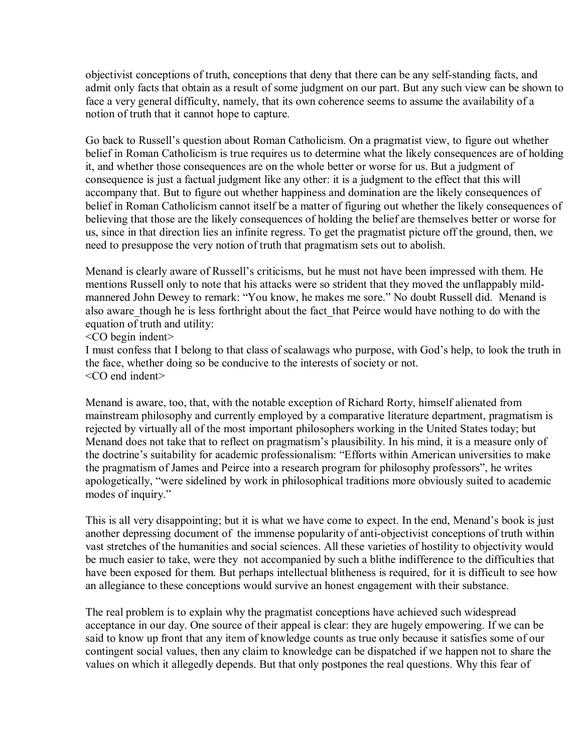objectivist conceptions of truth, conceptions that deny that there can be any self-standing facts, and admit only facts that obtain as a result of some judgment on our part. But any such view can be shown to face a very general difficulty, namely, that its own coherence seems to assume the availability of a notion of truth that it cannot hope to capture.

Go back to Russell's question about Roman Catholicism. On a pragmatist view, to figure out whether belief in Roman Catholicism is true requires us to determine what the likely consequences are of holding it, and whether those consequences are on the whole better or worse for us. But a judgment of consequence is just a factual judgment like any other: it is a judgment to the effect that this will accompany that. But to figure out whether happiness and domination are the likely consequences of belief in Roman Catholicism cannot itself be a matter of figuring out whether the likely consequences of believing that those are the likely consequences of holding the belief are themselves better or worse for us, since in that direction lies an infinite regress. To get the pragmatist picture off the ground, then, we need to presuppose the very notion of truth that pragmatism sets out to abolish.

Menand is clearly aware of Russell's criticisms, but he must not have been impressed with them. He mentions Russell only to note that his attacks were so strident that they moved the unflappably mildmannered John Dewey to remark: "You know, he makes me sore." No doubt Russell did. Menand is also aware though he is less forthright about the fact that Peirce would have nothing to do with the equation of truth and utility:

<CO begin indent>

I must confess that I belong to that class of scalawags who purpose, with God's help, to look the truth in the face, whether doing so be conducive to the interests of society or not. <CO end indent>

Menand is aware, too, that, with the notable exception of Richard Rorty, himself alienated from mainstream philosophy and currently employed by a comparative literature department, pragmatism is rejected by virtually all of the most important philosophers working in the United States today; but Menand does not take that to reflect on pragmatism's plausibility. In his mind, it is a measure only of the doctrine's suitability for academic professionalism: "Efforts within American universities to make the pragmatism of James and Peirce into a research program for philosophy professors", he writes apologetically, "were sidelined by work in philosophical traditions more obviously suited to academic modes of inquiry."

This is all very disappointing; but it is what we have come to expect. In the end, Menand's book is just another depressing document of the immense popularity of anti-objectivist conceptions of truth within vast stretches of the humanities and social sciences. All these varieties of hostility to objectivity would be much easier to take, were they not accompanied by such a blithe indifference to the difficulties that have been exposed for them. But perhaps intellectual blitheness is required, for it is difficult to see how an allegiance to these conceptions would survive an honest engagement with their substance.

The real problem is to explain why the pragmatist conceptions have achieved such widespread acceptance in our day. One source of their appeal is clear: they are hugely empowering. If we can be said to know up front that any item of knowledge counts as true only because it satisfies some of our contingent social values, then any claim to knowledge can be dispatched if we happen not to share the values on which it allegedly depends. But that only postpones the real questions. Why this fear of